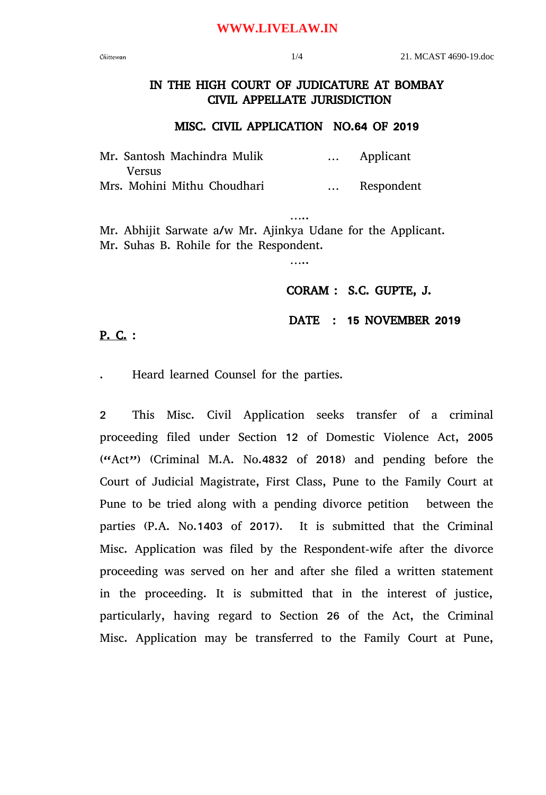### **WWW.LIVELAW.IN**

# IN THE HIGH COURT OF JUDICATURE AT BOMBAY CIVIL APPELLATE JURISDICTION

#### MISC. CIVIL APPLICATION NO.64 OF 2019

…..

|        | Mr. Santosh Machindra Mulik |          | Applicant  |
|--------|-----------------------------|----------|------------|
| Versus |                             |          |            |
|        | Mrs. Mohini Mithu Choudhari | $\cdots$ | Respondent |

….. Mr. Abhijit Sarwate a/w Mr. Ajinkya Udane for the Applicant. Mr. Suhas B. Rohile for the Respondent.

### CORAM : S.C. GUPTE, J.

### DATE : 15 NOVEMBER 2019

## P. C. :

. Heard learned Counsel for the parties.

2 This Misc. Civil Application seeks transfer of a criminal proceeding filed under Section 12 of Domestic Violence Act, 2005 ("Act") (Criminal M.A. No.4832 of 2018) and pending before the Court of Judicial Magistrate, First Class, Pune to the Family Court at Pune to be tried along with a pending divorce petition between the parties (P.A. No.1403 of 2017). It is submitted that the Criminal Misc. Application was filed by the Respondent-wife after the divorce proceeding was served on her and after she filed a written statement in the proceeding. It is submitted that in the interest of justice, particularly, having regard to Section 26 of the Act, the Criminal Misc. Application may be transferred to the Family Court at Pune,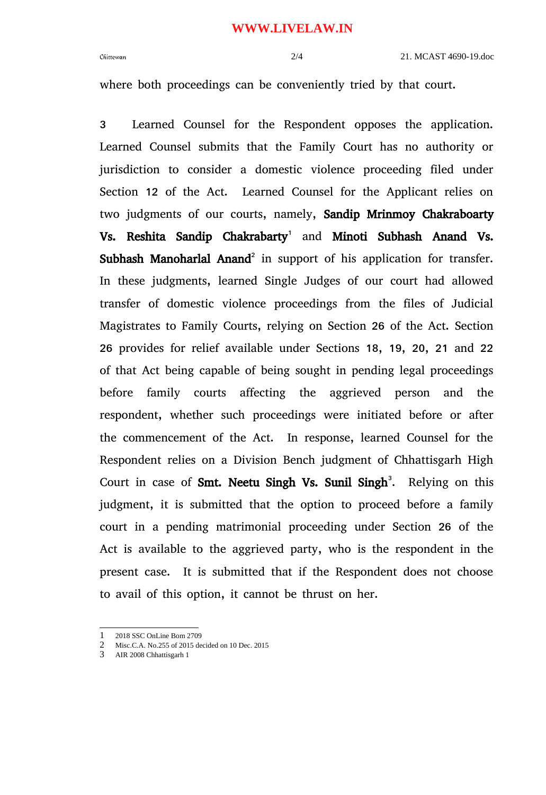where both proceedings can be conveniently tried by that court.

3 Learned Counsel for the Respondent opposes the application. Learned Counsel submits that the Family Court has no authority or jurisdiction to consider a domestic violence proceeding filed under Section 12 of the Act. Learned Counsel for the Applicant relies on two judgments of our courts, namely, Sandip Mrinmoy Chakraboarty Vs. Reshita Sandip Chakrabarty<sup>[1](#page-1-0)</sup> and Minoti Subhash Anand Vs. Subhash Manoharlal Anand<sup>[2](#page-1-1)</sup> in support of his application for transfer. In these judgments, learned Single Judges of our court had allowed transfer of domestic violence proceedings from the files of Judicial Magistrates to Family Courts, relying on Section 26 of the Act. Section 26 provides for relief available under Sections 18, 19, 20, 21 and 22 of that Act being capable of being sought in pending legal proceedings before family courts affecting the aggrieved person and the respondent, whether such proceedings were initiated before or after the commencement of the Act. In response, learned Counsel for the Respondent relies on a Division Bench judgment of Chhattisgarh High Court in case of Smt. Neetu Singh Vs. Sunil Singh<sup>[3](#page-1-2)</sup>. Relying on this judgment, it is submitted that the option to proceed before a family court in a pending matrimonial proceeding under Section 26 of the Act is available to the aggrieved party, who is the respondent in the present case. It is submitted that if the Respondent does not choose to avail of this option, it cannot be thrust on her.

<span id="page-1-0"></span><sup>2018</sup> SSC OnLine Bom 2709

<span id="page-1-1"></span><sup>2</sup> Misc.C.A. No.255 of 2015 decided on 10 Dec. 2015

<span id="page-1-2"></span><sup>3</sup> AIR 2008 Chhattisgarh 1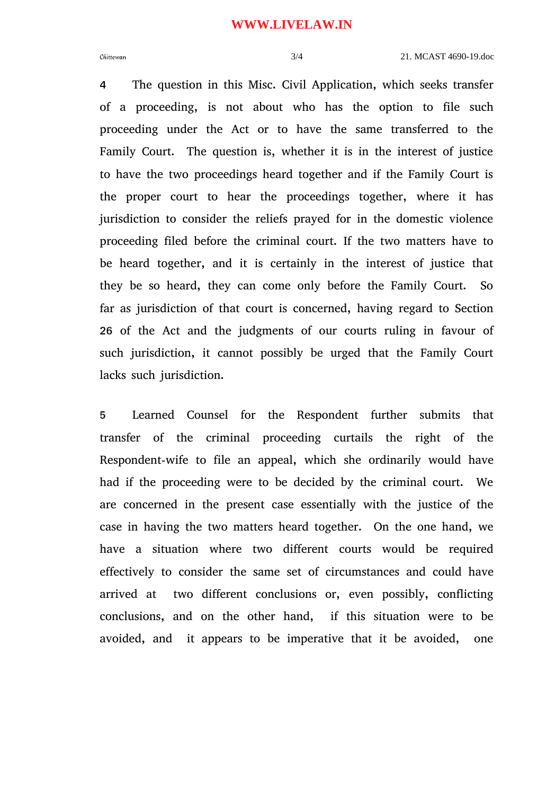#### **WWW.LIVELAW.IN**

4 The question in this Misc. Civil Application, which seeks transfer of a proceeding, is not about who has the option to file such proceeding under the Act or to have the same transferred to the Family Court. The question is, whether it is in the interest of justice to have the two proceedings heard together and if the Family Court is the proper court to hear the proceedings together, where it has jurisdiction to consider the reliefs prayed for in the domestic violence proceeding filed before the criminal court. If the two matters have to be heard together, and it is certainly in the interest of justice that they be so heard, they can come only before the Family Court. So far as jurisdiction of that court is concerned, having regard to Section 26 of the Act and the judgments of our courts ruling in favour of such jurisdiction, it cannot possibly be urged that the Family Court lacks such jurisdiction.

5 Learned Counsel for the Respondent further submits that transfer of the criminal proceeding curtails the right of the Respondent-wife to file an appeal, which she ordinarily would have had if the proceeding were to be decided by the criminal court. We are concerned in the present case essentially with the justice of the case in having the two matters heard together. On the one hand, we have a situation where two different courts would be required effectively to consider the same set of circumstances and could have arrived at two different conclusions or, even possibly, conflicting conclusions, and on the other hand, if this situation were to be avoided, and it appears to be imperative that it be avoided, one